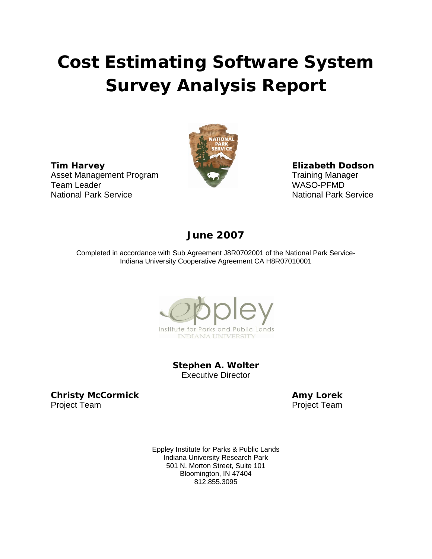# **Cost Estimating Software System Survey Analysis Report**

**Tim Harvey Construction Construction Construction Construction Construction Construction Construction Construction Construction Construction Construction Construction Construction Construction Construction Construction Co** Asset Management Program New York Care Training Manager Team Leader WASO-PFMD National Park Service **National Park Service** National Park Service



## **June 2007**

Completed in accordance with Sub Agreement J8R0702001 of the National Park Service-Indiana University Cooperative Agreement CA H8R07010001



**Stephen A. Wolter**  Executive Director

**Christy McCormick**  Amy Lorek **Amy Lorek Amy Lorek** Project Team **Project Team** Project Team

Eppley Institute for Parks & Public Lands Indiana University Research Park 501 N. Morton Street, Suite 101 Bloomington, IN 47404 812.855.3095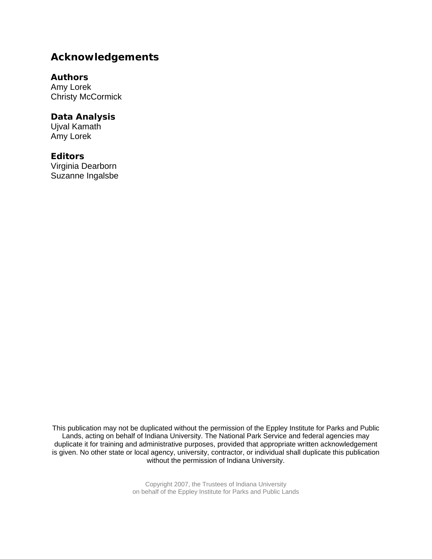## **Acknowledgements**

#### **Authors**

Amy Lorek Christy McCormick

## **Data Analysis**

Ujval Kamath Amy Lorek

#### **Editors**

Virginia Dearborn Suzanne Ingalsbe

This publication may not be duplicated without the permission of the Eppley Institute for Parks and Public Lands, acting on behalf of Indiana University. The National Park Service and federal agencies may duplicate it for training and administrative purposes, provided that appropriate written acknowledgement is given. No other state or local agency, university, contractor, or individual shall duplicate this publication without the permission of Indiana University.

> Copyright 2007, the Trustees of Indiana University on behalf of the Eppley Institute for Parks and Public Lands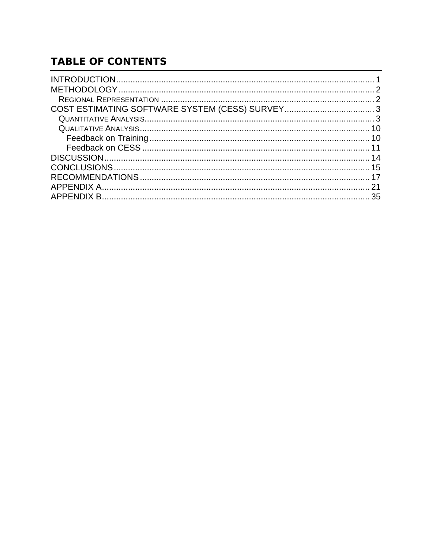# **TABLE OF CONTENTS**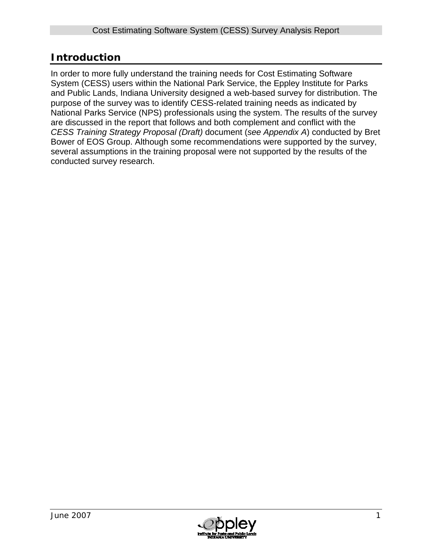# **Introduction**

In order to more fully understand the training needs for Cost Estimating Software System (CESS) users within the National Park Service, the Eppley Institute for Parks and Public Lands, Indiana University designed a web-based survey for distribution. The purpose of the survey was to identify CESS-related training needs as indicated by National Parks Service (NPS) professionals using the system. The results of the survey are discussed in the report that follows and both complement and conflict with the *CESS Training Strategy Proposal (Draft)* document (*see Appendix A*) conducted by Bret Bower of EOS Group. Although some recommendations were supported by the survey, several assumptions in the training proposal were not supported by the results of the conducted survey research.

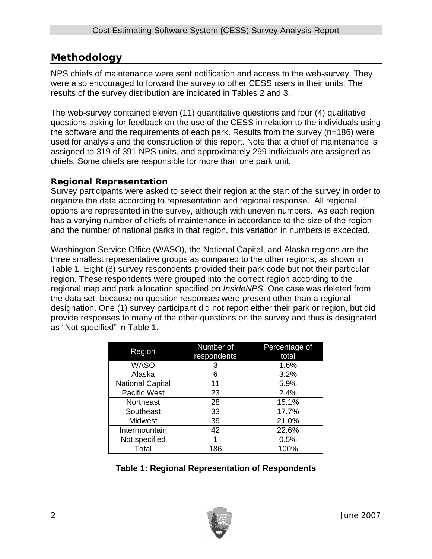# **Methodology**

NPS chiefs of maintenance were sent notification and access to the web-survey. They were also encouraged to forward the survey to other CESS users in their units. The results of the survey distribution are indicated in Tables 2 and 3.

The web-survey contained eleven (11) quantitative questions and four (4) qualitative questions asking for feedback on the use of the CESS in relation to the individuals using the software and the requirements of each park. Results from the survey (n=186) were used for analysis and the construction of this report. Note that a chief of maintenance is assigned to 319 of 391 NPS units, and approximately 299 individuals are assigned as chiefs. Some chiefs are responsible for more than one park unit.

#### **Regional Representation**

Survey participants were asked to select their region at the start of the survey in order to organize the data according to representation and regional response. All regional options are represented in the survey, although with uneven numbers. As each region has a varying number of chiefs of maintenance in accordance to the size of the region and the number of national parks in that region, this variation in numbers is expected.

Washington Service Office (WASO), the National Capital, and Alaska regions are the three smallest representative groups as compared to the other regions, as shown in Table 1. Eight (8) survey respondents provided their park code but not their particular region. These respondents were grouped into the correct region according to the regional map and park allocation specified on *InsideNPS*. One case was deleted from the data set, because no question responses were present other than a regional designation. One (1) survey participant did not report either their park or region, but did provide responses to many of the other questions on the survey and thus is designated as "Not specified" in Table 1.

| Region                  | Number of<br>respondents | Percentage of<br>total |
|-------------------------|--------------------------|------------------------|
| <b>WASO</b>             | 3                        | 1.6%                   |
| Alaska                  | 6                        | 3.2%                   |
| <b>National Capital</b> | 11                       | 5.9%                   |
| Pacific West            | 23                       | 2.4%                   |
| Northeast               | 28                       | 15.1%                  |
| Southeast               | 33                       | 17.7%                  |
| Midwest                 | 39                       | 21.0%                  |
| Intermountain           | 42                       | 22.6%                  |
| Not specified           |                          | 0.5%                   |
| Total                   | 186                      | 100%                   |

#### **Table 1: Regional Representation of Respondents**

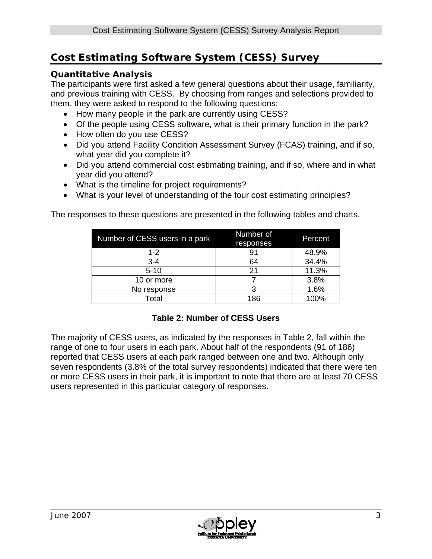# **Cost Estimating Software System (CESS) Survey**

#### **Quantitative Analysis**

The participants were first asked a few general questions about their usage, familiarity, and previous training with CESS. By choosing from ranges and selections provided to them, they were asked to respond to the following questions:

- How many people in the park are currently using CESS?
- Of the people using CESS software, what is their primary function in the park?
- How often do you use CESS?
- Did you attend Facility Condition Assessment Survey (FCAS) training, and if so, what year did you complete it?
- Did you attend commercial cost estimating training, and if so, where and in what year did you attend?
- What is the timeline for project requirements?
- What is your level of understanding of the four cost estimating principles?

The responses to these questions are presented in the following tables and charts.

| Number of CESS users in a park | Number of<br>responses | Percent |
|--------------------------------|------------------------|---------|
| $1 - 2$                        | 91                     | 48.9%   |
| $3 - 4$                        | 64                     | 34.4%   |
| $5 - 10$                       | 21                     | 11.3%   |
| 10 or more                     |                        | 3.8%    |
| No response                    |                        | 1.6%    |
| Total                          | 186                    | 100%    |

#### **Table 2: Number of CESS Users**

The majority of CESS users, as indicated by the responses in Table 2, fall within the range of one to four users in each park. About half of the respondents (91 of 186) reported that CESS users at each park ranged between one and two. Although only seven respondents (3.8% of the total survey respondents) indicated that there were ten or more CESS users in their park, it is important to note that there are at least 70 CESS users represented in this particular category of responses.

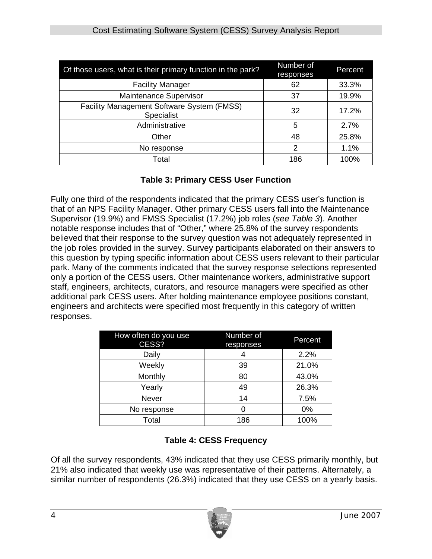| Of those users, what is their primary function in the park?            | Number of<br>responses | Percent |
|------------------------------------------------------------------------|------------------------|---------|
| <b>Facility Manager</b>                                                | 62                     | 33.3%   |
| Maintenance Supervisor                                                 | 37                     | 19.9%   |
| <b>Facility Management Software System (FMSS)</b><br><b>Specialist</b> | 32                     | 17.2%   |
| Administrative                                                         | 5                      | 2.7%    |
| Other                                                                  | 48                     | 25.8%   |
| No response                                                            | 2                      | 1.1%    |
| Total                                                                  | 186                    | 100%    |

## **Table 3: Primary CESS User Function**

Fully one third of the respondents indicated that the primary CESS user's function is that of an NPS Facility Manager. Other primary CESS users fall into the Maintenance Supervisor (19.9%) and FMSS Specialist (17.2%) job roles (*see Table 3*). Another notable response includes that of "Other," where 25.8% of the survey respondents believed that their response to the survey question was not adequately represented in the job roles provided in the survey. Survey participants elaborated on their answers to this question by typing specific information about CESS users relevant to their particular park. Many of the comments indicated that the survey response selections represented only a portion of the CESS users. Other maintenance workers, administrative support staff, engineers, architects, curators, and resource managers were specified as other additional park CESS users. After holding maintenance employee positions constant, engineers and architects were specified most frequently in this category of written responses.

| How often do you use<br>CESS? | Number of<br>responses | <b>Percent</b> |
|-------------------------------|------------------------|----------------|
| Daily                         |                        | 2.2%           |
| Weekly                        | 39                     | 21.0%          |
| Monthly                       | 80                     | 43.0%          |
| Yearly                        | 49                     | 26.3%          |
| Never                         | 14                     | 7.5%           |
| No response                   |                        | 0%             |
| Total                         | 186                    | 100%           |

#### **Table 4: CESS Frequency**

Of all the survey respondents, 43% indicated that they use CESS primarily monthly, but 21% also indicated that weekly use was representative of their patterns. Alternately, a similar number of respondents (26.3%) indicated that they use CESS on a yearly basis.

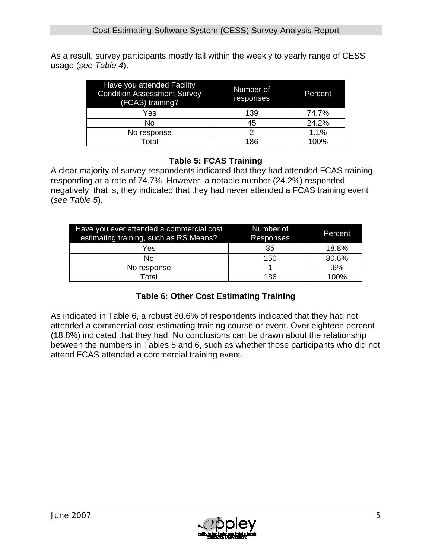As a result, survey participants mostly fall within the weekly to yearly range of CESS usage (*see Table 4*).

| Have you attended Facility<br><b>Condition Assessment Survey</b><br>(FCAS) training? | Number of<br>responses | Percent |
|--------------------------------------------------------------------------------------|------------------------|---------|
| Yes                                                                                  | 139                    | 74.7%   |
| No                                                                                   | 45                     | 24.2%   |
| No response                                                                          |                        | 1.1%    |
| Гоtal                                                                                | 186                    | 100%    |

#### **Table 5: FCAS Training**

A clear majority of survey respondents indicated that they had attended FCAS training, responding at a rate of 74.7%. However, a notable number (24.2%) responded negatively; that is, they indicated that they had never attended a FCAS training event (*see Table 5*).

| Have you ever attended a commercial cost<br>estimating training, such as RS Means? | Number of<br>Responses | Percent |
|------------------------------------------------------------------------------------|------------------------|---------|
| Yes                                                                                | 35                     | 18.8%   |
| Nο                                                                                 | 150                    | 80.6%   |
| No response                                                                        |                        | .6%     |
| Total                                                                              | 186                    | 100%    |

#### **Table 6: Other Cost Estimating Training**

As indicated in Table 6, a robust 80.6% of respondents indicated that they had not attended a commercial cost estimating training course or event. Over eighteen percent (18.8%) indicated that they had. No conclusions can be drawn about the relationship between the numbers in Tables 5 and 6, such as whether those participants who did not attend FCAS attended a commercial training event.

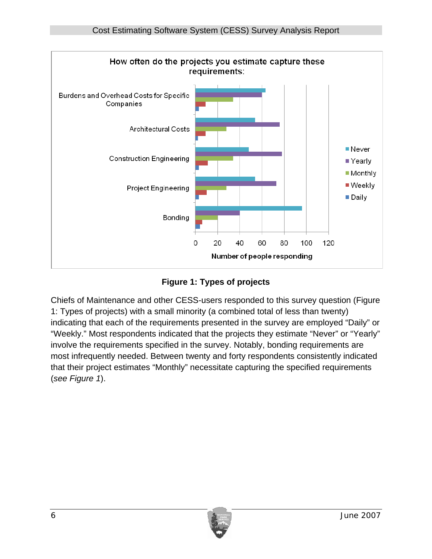

**Figure 1: Types of projects** 

Chiefs of Maintenance and other CESS-users responded to this survey question (Figure 1: Types of projects) with a small minority (a combined total of less than twenty) indicating that each of the requirements presented in the survey are employed "Daily" or "Weekly." Most respondents indicated that the projects they estimate "Never" or "Yearly" involve the requirements specified in the survey. Notably, bonding requirements are most infrequently needed. Between twenty and forty respondents consistently indicated that their project estimates "Monthly" necessitate capturing the specified requirements (*see Figure 1*).

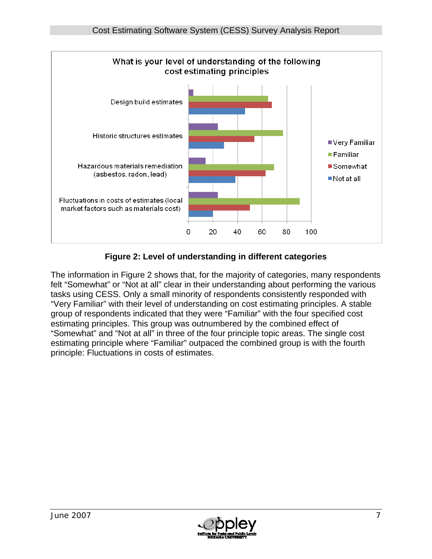

## **Figure 2: Level of understanding in different categories**

The information in Figure 2 shows that, for the majority of categories, many respondents felt "Somewhat" or "Not at all" clear in their understanding about performing the various tasks using CESS. Only a small minority of respondents consistently responded with "Very Familiar" with their level of understanding on cost estimating principles. A stable group of respondents indicated that they were "Familiar" with the four specified cost estimating principles. This group was outnumbered by the combined effect of "Somewhat" and "Not at all" in three of the four principle topic areas. The single cost estimating principle where "Familiar" outpaced the combined group is with the fourth principle: Fluctuations in costs of estimates.

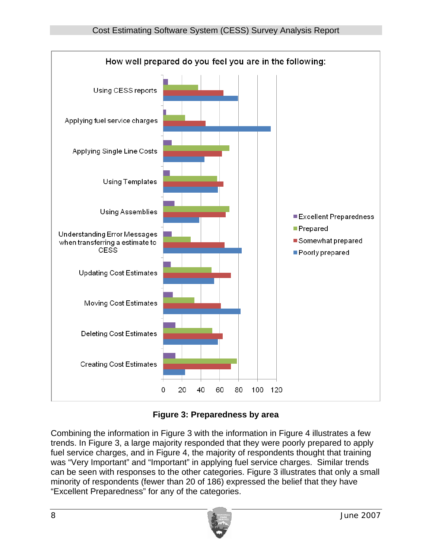

**Figure 3: Preparedness by area** 

Combining the information in Figure 3 with the information in Figure 4 illustrates a few trends. In Figure 3, a large majority responded that they were poorly prepared to apply fuel service charges, and in Figure 4, the majority of respondents thought that training was "Very Important" and "Important" in applying fuel service charges. Similar trends can be seen with responses to the other categories. Figure 3 illustrates that only a small minority of respondents (fewer than 20 of 186) expressed the belief that they have "Excellent Preparedness" for any of the categories.

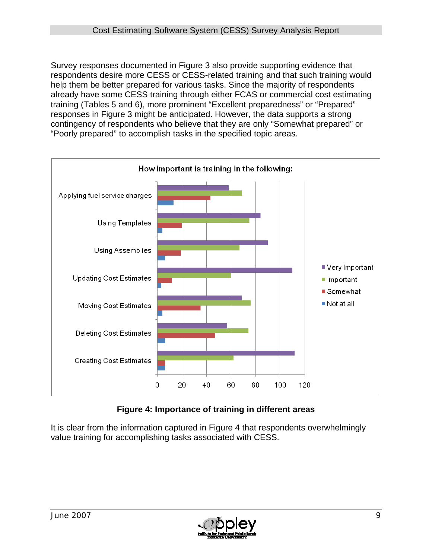Survey responses documented in Figure 3 also provide supporting evidence that respondents desire more CESS or CESS-related training and that such training would help them be better prepared for various tasks. Since the majority of respondents already have some CESS training through either FCAS or commercial cost estimating training (Tables 5 and 6), more prominent "Excellent preparedness" or "Prepared" responses in Figure 3 might be anticipated. However, the data supports a strong contingency of respondents who believe that they are only "Somewhat prepared" or "Poorly prepared" to accomplish tasks in the specified topic areas.



**Figure 4: Importance of training in different areas** 

It is clear from the information captured in Figure 4 that respondents overwhelmingly value training for accomplishing tasks associated with CESS.

$$
\mathcal{L}^{\text{bple}}
$$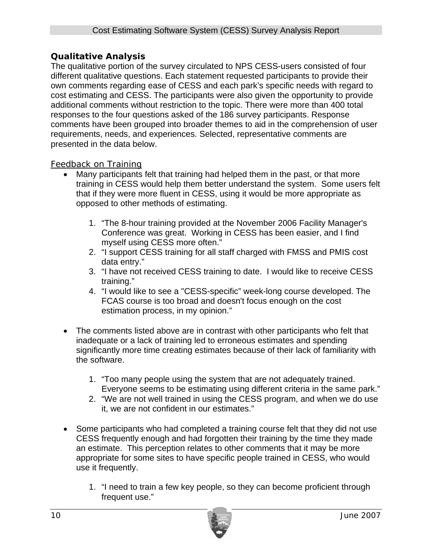## **Qualitative Analysis**

The qualitative portion of the survey circulated to NPS CESS-users consisted of four different qualitative questions. Each statement requested participants to provide their own comments regarding ease of CESS and each park's specific needs with regard to cost estimating and CESS. The participants were also given the opportunity to provide additional comments without restriction to the topic. There were more than 400 total responses to the four questions asked of the 186 survey participants. Response comments have been grouped into broader themes to aid in the comprehension of user requirements, needs, and experiences. Selected, representative comments are presented in the data below.

#### Feedback on Training

- Many participants felt that training had helped them in the past, or that more training in CESS would help them better understand the system. Some users felt that if they were more fluent in CESS, using it would be more appropriate as opposed to other methods of estimating.
	- 1. "The 8-hour training provided at the November 2006 Facility Manager's Conference was great. Working in CESS has been easier, and I find myself using CESS more often."
	- 2. "I support CESS training for all staff charged with FMSS and PMIS cost data entry."
	- 3. "I have not received CESS training to date. I would like to receive CESS training."
	- 4. "I would like to see a "CESS-specific" week-long course developed. The FCAS course is too broad and doesn't focus enough on the cost estimation process, in my opinion."
- The comments listed above are in contrast with other participants who felt that inadequate or a lack of training led to erroneous estimates and spending significantly more time creating estimates because of their lack of familiarity with the software.
	- 1. "Too many people using the system that are not adequately trained. Everyone seems to be estimating using different criteria in the same park."
	- 2. "We are not well trained in using the CESS program, and when we do use it, we are not confident in our estimates."
- Some participants who had completed a training course felt that they did not use CESS frequently enough and had forgotten their training by the time they made an estimate. This perception relates to other comments that it may be more appropriate for some sites to have specific people trained in CESS, who would use it frequently.
	- 1. "I need to train a few key people, so they can become proficient through frequent use."

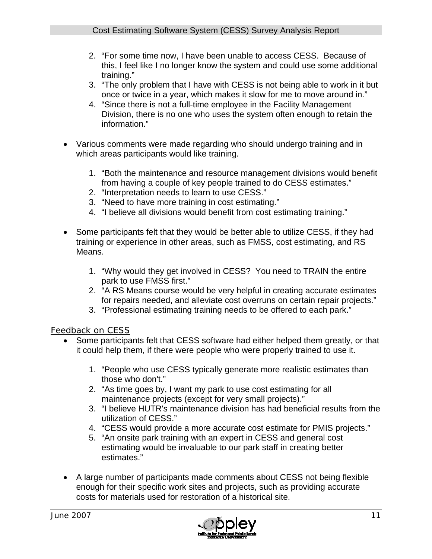- 2. "For some time now, I have been unable to access CESS. Because of this, I feel like I no longer know the system and could use some additional training."
- 3. "The only problem that I have with CESS is not being able to work in it but once or twice in a year, which makes it slow for me to move around in."
- 4. "Since there is not a full-time employee in the Facility Management Division, there is no one who uses the system often enough to retain the information."
- Various comments were made regarding who should undergo training and in which areas participants would like training.
	- 1. "Both the maintenance and resource management divisions would benefit from having a couple of key people trained to do CESS estimates."
	- 2. "Interpretation needs to learn to use CESS."
	- 3. "Need to have more training in cost estimating."
	- 4. "I believe all divisions would benefit from cost estimating training."
- Some participants felt that they would be better able to utilize CESS, if they had training or experience in other areas, such as FMSS, cost estimating, and RS Means.
	- 1. "Why would they get involved in CESS? You need to TRAIN the entire park to use FMSS first."
	- 2. "A RS Means course would be very helpful in creating accurate estimates for repairs needed, and alleviate cost overruns on certain repair projects."
	- 3. "Professional estimating training needs to be offered to each park."

#### Feedback on CESS

- Some participants felt that CESS software had either helped them greatly, or that it could help them, if there were people who were properly trained to use it.
	- 1. "People who use CESS typically generate more realistic estimates than those who don't."
	- 2. "As time goes by, I want my park to use cost estimating for all maintenance projects (except for very small projects)."
	- 3. "I believe HUTR's maintenance division has had beneficial results from the utilization of CESS."
	- 4. "CESS would provide a more accurate cost estimate for PMIS projects."
	- 5. "An onsite park training with an expert in CESS and general cost estimating would be invaluable to our park staff in creating better estimates."
- A large number of participants made comments about CESS not being flexible enough for their specific work sites and projects, such as providing accurate costs for materials used for restoration of a historical site.

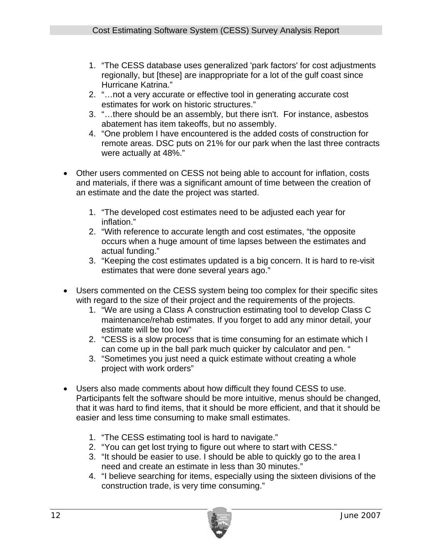- 1. "The CESS database uses generalized 'park factors' for cost adjustments regionally, but [these] are inappropriate for a lot of the gulf coast since Hurricane Katrina."
- 2. "…not a very accurate or effective tool in generating accurate cost estimates for work on historic structures."
- 3. "…there should be an assembly, but there isn't. For instance, asbestos abatement has item takeoffs, but no assembly.
- 4. "One problem I have encountered is the added costs of construction for remote areas. DSC puts on 21% for our park when the last three contracts were actually at 48%."
- Other users commented on CESS not being able to account for inflation, costs and materials, if there was a significant amount of time between the creation of an estimate and the date the project was started.
	- 1. "The developed cost estimates need to be adjusted each year for inflation."
	- 2. "With reference to accurate length and cost estimates, "the opposite occurs when a huge amount of time lapses between the estimates and actual funding."
	- 3. "Keeping the cost estimates updated is a big concern. It is hard to re-visit estimates that were done several years ago."
- Users commented on the CESS system being too complex for their specific sites with regard to the size of their project and the requirements of the projects.
	- 1. "We are using a Class A construction estimating tool to develop Class C maintenance/rehab estimates. If you forget to add any minor detail, your estimate will be too low"
	- 2. "CESS is a slow process that is time consuming for an estimate which I can come up in the ball park much quicker by calculator and pen. "
	- 3. "Sometimes you just need a quick estimate without creating a whole project with work orders"
- Users also made comments about how difficult they found CESS to use. Participants felt the software should be more intuitive, menus should be changed, that it was hard to find items, that it should be more efficient, and that it should be easier and less time consuming to make small estimates.
	- 1. "The CESS estimating tool is hard to navigate."
	- 2. "You can get lost trying to figure out where to start with CESS."
	- 3. "It should be easier to use. I should be able to quickly go to the area I need and create an estimate in less than 30 minutes."
	- 4. "I believe searching for items, especially using the sixteen divisions of the construction trade, is very time consuming."

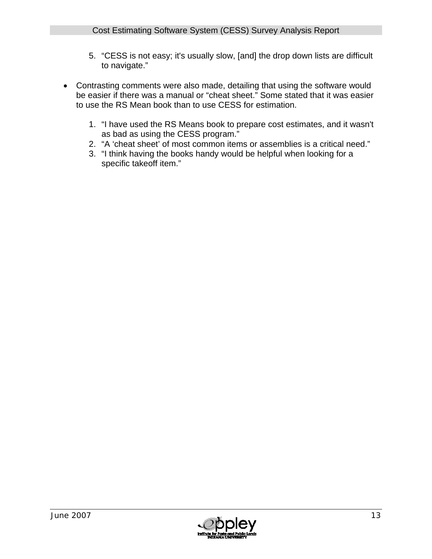- 5. "CESS is not easy; it's usually slow, [and] the drop down lists are difficult to navigate."
- Contrasting comments were also made, detailing that using the software would be easier if there was a manual or "cheat sheet." Some stated that it was easier to use the RS Mean book than to use CESS for estimation.
	- 1. "I have used the RS Means book to prepare cost estimates, and it wasn't as bad as using the CESS program."
	- 2. "A 'cheat sheet' of most common items or assemblies is a critical need."
	- 3. "I think having the books handy would be helpful when looking for a specific takeoff item."

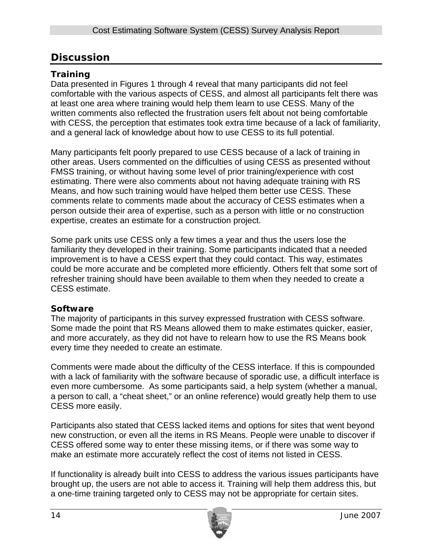## **Discussion**

## **Training**

Data presented in Figures 1 through 4 reveal that many participants did not feel comfortable with the various aspects of CESS, and almost all participants felt there was at least one area where training would help them learn to use CESS. Many of the written comments also reflected the frustration users felt about not being comfortable with CESS, the perception that estimates took extra time because of a lack of familiarity, and a general lack of knowledge about how to use CESS to its full potential.

Many participants felt poorly prepared to use CESS because of a lack of training in other areas. Users commented on the difficulties of using CESS as presented without FMSS training, or without having some level of prior training/experience with cost estimating. There were also comments about not having adequate training with RS Means, and how such training would have helped them better use CESS. These comments relate to comments made about the accuracy of CESS estimates when a person outside their area of expertise, such as a person with little or no construction expertise, creates an estimate for a construction project.

Some park units use CESS only a few times a year and thus the users lose the familiarity they developed in their training. Some participants indicated that a needed improvement is to have a CESS expert that they could contact. This way, estimates could be more accurate and be completed more efficiently. Others felt that some sort of refresher training should have been available to them when they needed to create a CESS estimate.

## **Software**

The majority of participants in this survey expressed frustration with CESS software. Some made the point that RS Means allowed them to make estimates quicker, easier, and more accurately, as they did not have to relearn how to use the RS Means book every time they needed to create an estimate.

Comments were made about the difficulty of the CESS interface. If this is compounded with a lack of familiarity with the software because of sporadic use, a difficult interface is even more cumbersome. As some participants said, a help system (whether a manual, a person to call, a "cheat sheet," or an online reference) would greatly help them to use CESS more easily.

Participants also stated that CESS lacked items and options for sites that went beyond new construction, or even all the items in RS Means. People were unable to discover if CESS offered some way to enter these missing items, or if there was some way to make an estimate more accurately reflect the cost of items not listed in CESS.

If functionality is already built into CESS to address the various issues participants have brought up, the users are not able to access it. Training will help them address this, but a one-time training targeted only to CESS may not be appropriate for certain sites.

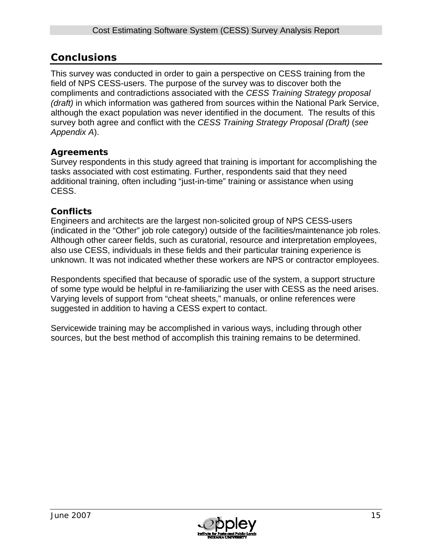## **Conclusions**

This survey was conducted in order to gain a perspective on CESS training from the field of NPS CESS-users. The purpose of the survey was to discover both the compliments and contradictions associated with the *CESS Training Strategy proposal (draft)* in which information was gathered from sources within the National Park Service, although the exact population was never identified in the document. The results of this survey both agree and conflict with the *CESS Training Strategy Proposal (Draft)* (*see Appendix A*).

## **Agreements**

Survey respondents in this study agreed that training is important for accomplishing the tasks associated with cost estimating. Further, respondents said that they need additional training, often including "just-in-time" training or assistance when using CESS.

## **Conflicts**

Engineers and architects are the largest non-solicited group of NPS CESS-users (indicated in the "Other" job role category) outside of the facilities/maintenance job roles. Although other career fields, such as curatorial, resource and interpretation employees, also use CESS, individuals in these fields and their particular training experience is unknown. It was not indicated whether these workers are NPS or contractor employees.

Respondents specified that because of sporadic use of the system, a support structure of some type would be helpful in re-familiarizing the user with CESS as the need arises. Varying levels of support from "cheat sheets," manuals, or online references were suggested in addition to having a CESS expert to contact.

Servicewide training may be accomplished in various ways, including through other sources, but the best method of accomplish this training remains to be determined.

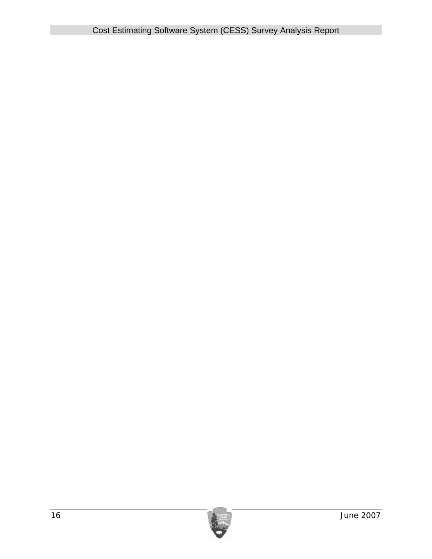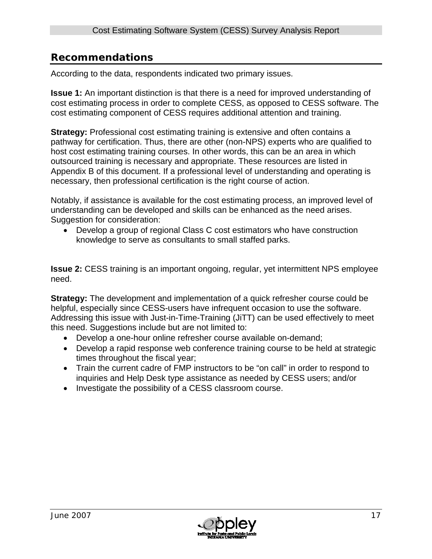## **Recommendations**

According to the data, respondents indicated two primary issues.

**Issue 1:** An important distinction is that there is a need for improved understanding of cost estimating process in order to complete CESS, as opposed to CESS software. The cost estimating component of CESS requires additional attention and training.

**Strategy:** Professional cost estimating training is extensive and often contains a pathway for certification. Thus, there are other (non-NPS) experts who are qualified to host cost estimating training courses. In other words, this can be an area in which outsourced training is necessary and appropriate. These resources are listed in Appendix B of this document. If a professional level of understanding and operating is necessary, then professional certification is the right course of action.

Notably, if assistance is available for the cost estimating process, an improved level of understanding can be developed and skills can be enhanced as the need arises. Suggestion for consideration:

• Develop a group of regional Class C cost estimators who have construction knowledge to serve as consultants to small staffed parks.

**Issue 2:** CESS training is an important ongoing, regular, yet intermittent NPS employee need.

**Strategy:** The development and implementation of a quick refresher course could be helpful, especially since CESS-users have infrequent occasion to use the software. Addressing this issue with Just-in-Time-Training (JiTT) can be used effectively to meet this need. Suggestions include but are not limited to:

- Develop a one-hour online refresher course available on-demand;
- Develop a rapid response web conference training course to be held at strategic times throughout the fiscal year;
- Train the current cadre of FMP instructors to be "on call" in order to respond to inquiries and Help Desk type assistance as needed by CESS users; and/or
- Investigate the possibility of a CESS classroom course.

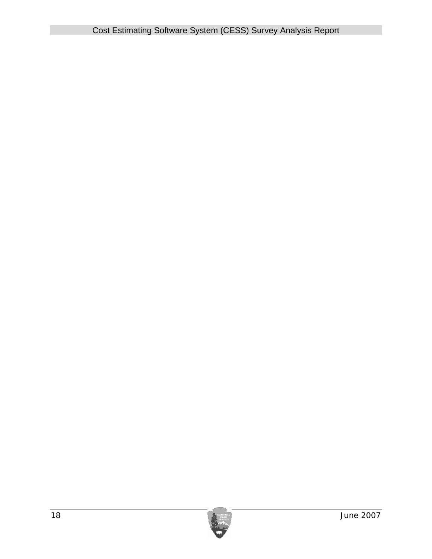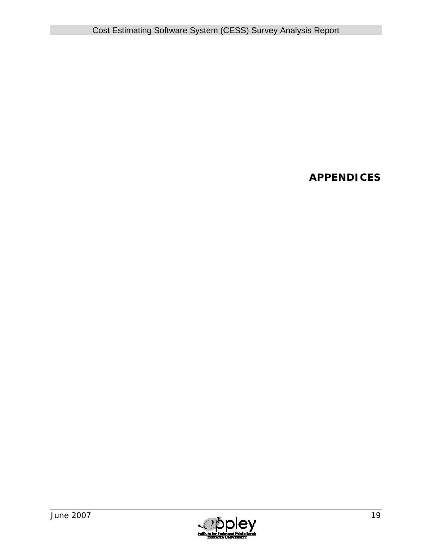**APPENDICES** 

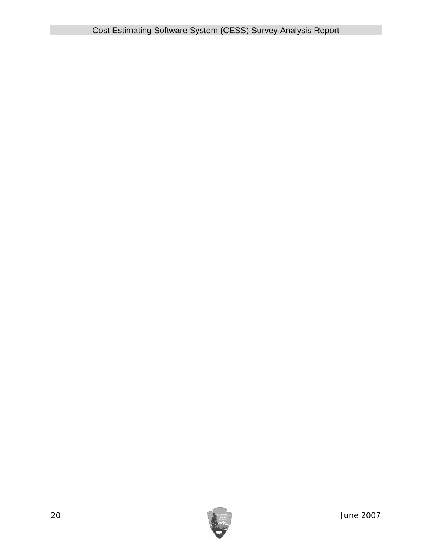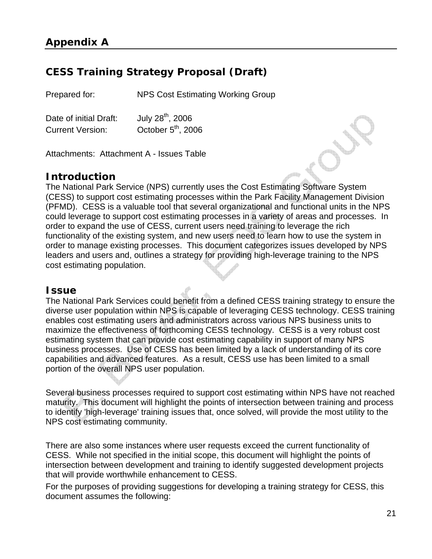# **CESS Training Strategy Proposal (Draft)**

Prepared for: NPS Cost Estimating Working Group

| Date of initial Draft:  | July 28 <sup>th</sup> , 2006   |
|-------------------------|--------------------------------|
| <b>Current Version:</b> | October 5 <sup>th</sup> , 2006 |

Attachments: Attachment A - Issues Table

#### **Introduction**

The National Park Service (NPS) currently uses the Cost Estimating Software System (CESS) to support cost estimating processes within the Park Facility Management Division (PFMD). CESS is a valuable tool that several organizational and functional units in the NPS could leverage to support cost estimating processes in a variety of areas and processes. In order to expand the use of CESS, current users need training to leverage the rich functionality of the existing system, and new users need to learn how to use the system in order to manage existing processes. This document categorizes issues developed by NPS leaders and users and, outlines a strategy for providing high-leverage training to the NPS cost estimating population.

#### **Issue**

The National Park Services could benefit from a defined CESS training strategy to ensure the diverse user population within NPS is capable of leveraging CESS technology. CESS training enables cost estimating users and administrators across various NPS business units to maximize the effectiveness of forthcoming CESS technology. CESS is a very robust cost estimating system that can provide cost estimating capability in support of many NPS business processes. Use of CESS has been limited by a lack of understanding of its core capabilities and advanced features. As a result, CESS use has been limited to a small portion of the overall NPS user population.

Several business processes required to support cost estimating within NPS have not reached maturity. This document will highlight the points of intersection between training and process to identify 'high-leverage' training issues that, once solved, will provide the most utility to the NPS cost estimating community.

There are also some instances where user requests exceed the current functionality of CESS. While not specified in the initial scope, this document will highlight the points of intersection between development and training to identify suggested development projects that will provide worthwhile enhancement to CESS.

For the purposes of providing suggestions for developing a training strategy for CESS, this document assumes the following: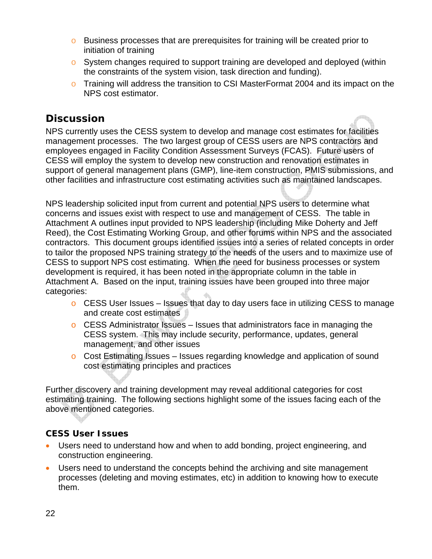- $\circ$  Business processes that are prerequisites for training will be created prior to initiation of training
- o System changes required to support training are developed and deployed (within the constraints of the system vision, task direction and funding).
- $\circ$  Training will address the transition to CSI MasterFormat 2004 and its impact on the NPS cost estimator.

## **Discussion**

NPS currently uses the CESS system to develop and manage cost estimates for facilities management processes. The two largest group of CESS users are NPS contractors and employees engaged in Facility Condition Assessment Surveys (FCAS). Future users of CESS will employ the system to develop new construction and renovation estimates in support of general management plans (GMP), line-item construction, PMIS submissions, and other facilities and infrastructure cost estimating activities such as maintained landscapes.

NPS leadership solicited input from current and potential NPS users to determine what concerns and issues exist with respect to use and management of CESS. The table in Attachment A outlines input provided to NPS leadership (including Mike Doherty and Jeff Reed), the Cost Estimating Working Group, and other forums within NPS and the associated contractors. This document groups identified issues into a series of related concepts in order to tailor the proposed NPS training strategy to the needs of the users and to maximize use of CESS to support NPS cost estimating. When the need for business processes or system development is required, it has been noted in the appropriate column in the table in Attachment A. Based on the input, training issues have been grouped into three major categories:

- $\circ$  CESS User Issues Issues that day to day users face in utilizing CESS to manage and create cost estimates
- $\circ$  CESS Administrator Issues Issues that administrators face in managing the CESS system. This may include security, performance, updates, general management, and other issues
- o Cost Estimating Issues Issues regarding knowledge and application of sound cost estimating principles and practices

Further discovery and training development may reveal additional categories for cost estimating training. The following sections highlight some of the issues facing each of the above mentioned categories.

#### **CESS User Issues**

- Users need to understand how and when to add bonding, project engineering, and construction engineering.
- Users need to understand the concepts behind the archiving and site management processes (deleting and moving estimates, etc) in addition to knowing how to execute them.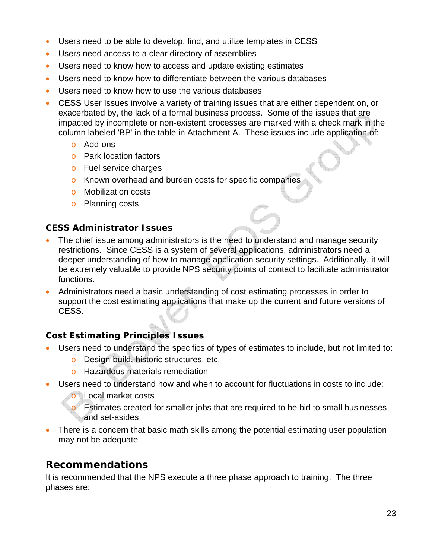- Users need to be able to develop, find, and utilize templates in CESS
- Users need access to a clear directory of assemblies
- Users need to know how to access and update existing estimates
- Users need to know how to differentiate between the various databases
- Users need to know how to use the various databases
- CESS User Issues involve a variety of training issues that are either dependent on, or exacerbated by, the lack of a formal business process. Some of the issues that are impacted by incomplete or non-existent processes are marked with a check mark in the column labeled 'BP' in the table in Attachment A. These issues include application of:
	- o Add-ons
	- o Park location factors
	- o Fuel service charges
	- o Known overhead and burden costs for specific companies
	- o Mobilization costs
	- o Planning costs

#### **CESS Administrator Issues**

- The chief issue among administrators is the need to understand and manage security restrictions. Since CESS is a system of several applications, administrators need a deeper understanding of how to manage application security settings. Additionally, it will be extremely valuable to provide NPS security points of contact to facilitate administrator functions.
- Administrators need a basic understanding of cost estimating processes in order to support the cost estimating applications that make up the current and future versions of CESS.

### **Cost Estimating Principles Issues**

- Users need to understand the specifics of types of estimates to include, but not limited to:
	- o Design-build, historic structures, etc.
	- o Hazardous materials remediation
- Users need to understand how and when to account for fluctuations in costs to include:
	- **Local market costs**

Estimates created for smaller jobs that are required to be bid to small businesses and set-asides

• There is a concern that basic math skills among the potential estimating user population may not be adequate

## **Recommendations**

It is recommended that the NPS execute a three phase approach to training. The three phases are: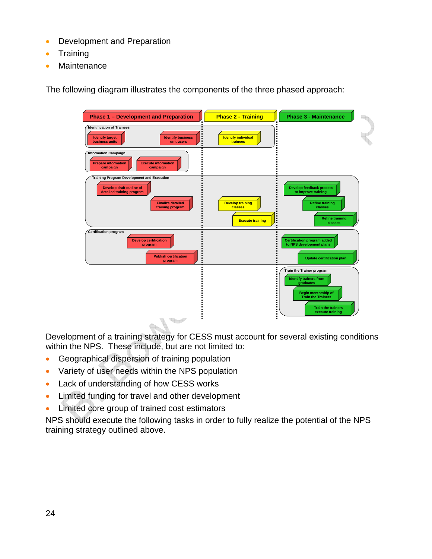- Development and Preparation
- Training
- **Maintenance**

The following diagram illustrates the components of the three phased approach:

| <b>Phase 1 - Development and Preparation</b>                                                                                                                      | <b>Phase 2 - Training</b>                                     | <b>Phase 3 - Maintenance</b>                                                                                                                                                        |  |
|-------------------------------------------------------------------------------------------------------------------------------------------------------------------|---------------------------------------------------------------|-------------------------------------------------------------------------------------------------------------------------------------------------------------------------------------|--|
| <b>Identification of Trainees</b><br><b>Identify target</b><br><b>Identify business</b><br><b>business units</b><br>unit users                                    | <b>Identify individual</b><br>trainees                        |                                                                                                                                                                                     |  |
| <b>Information Campaign</b><br><b>Execute information</b><br><b>Prepare information</b><br>campaign<br>campaign                                                   |                                                               |                                                                                                                                                                                     |  |
| <b>Training Program Development and Execution</b><br><b>Develop draft outline of</b><br>detailed training program<br><b>Finalize detailed</b><br>training program | <b>Develop training</b><br>classes<br><b>Execute training</b> | Develop feedback process<br>to improve training<br><b>Refine training</b><br>classes<br><b>Refine training</b><br>$\blacksquare$<br><b>classes</b>                                  |  |
| Certification program<br><b>Develop certification</b><br>program<br><b>Publish certification</b><br>program                                                       |                                                               | <b>Certification program added</b><br>to NPS development plans<br><b>Update certification plan</b>                                                                                  |  |
| $\mathbb{Z}$ where $\mathbb{Z}$                                                                                                                                   |                                                               | Train the Trainer program<br><b>Identify trainers from</b><br>graduates<br><b>Begin mentorship of</b><br><b>Train the Trainers</b><br><b>Train the trainers</b><br>execute training |  |

Development of a training strategy for CESS must account for several existing conditions within the NPS. These include, but are not limited to:

- Geographical dispersion of training population
- Variety of user needs within the NPS population
- Lack of understanding of how CESS works
- Limited funding for travel and other development
- Limited core group of trained cost estimators

NPS should execute the following tasks in order to fully realize the potential of the NPS training strategy outlined above.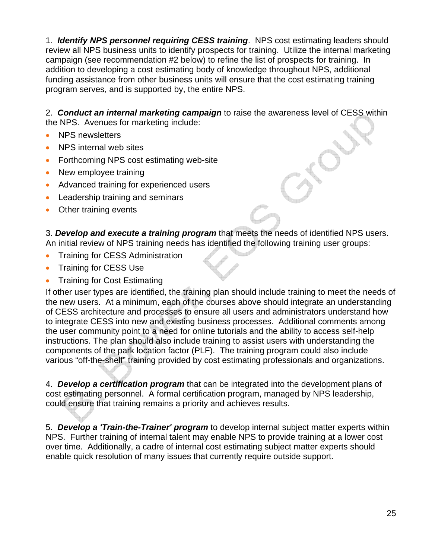1. *Identify NPS personnel requiring CESS training*. NPS cost estimating leaders should review all NPS business units to identify prospects for training. Utilize the internal marketing campaign (see recommendation #2 below) to refine the list of prospects for training. In addition to developing a cost estimating body of knowledge throughout NPS, additional funding assistance from other business units will ensure that the cost estimating training program serves, and is supported by, the entire NPS.

2. *Conduct an internal marketing campaign* to raise the awareness level of CESS within the NPS. Avenues for marketing include:

- NPS newsletters
- NPS internal web sites
- Forthcoming NPS cost estimating web-site
- New employee training
- Advanced training for experienced users
- Leadership training and seminars
- Other training events

3. *Develop and execute a training program* that meets the needs of identified NPS users. An initial review of NPS training needs has identified the following training user groups:

- Training for CESS Administration
- Training for CESS Use
- Training for Cost Estimating

If other user types are identified, the training plan should include training to meet the needs of the new users. At a minimum, each of the courses above should integrate an understanding of CESS architecture and processes to ensure all users and administrators understand how to integrate CESS into new and existing business processes. Additional comments among the user community point to a need for online tutorials and the ability to access self-help instructions. The plan should also include training to assist users with understanding the components of the park location factor (PLF). The training program could also include various "off-the-shelf" training provided by cost estimating professionals and organizations.

4. *Develop a certification program* that can be integrated into the development plans of cost estimating personnel. A formal certification program, managed by NPS leadership, could ensure that training remains a priority and achieves results.

5. *Develop a 'Train-the-Trainer' program* to develop internal subject matter experts within NPS. Further training of internal talent may enable NPS to provide training at a lower cost over time. Additionally, a cadre of internal cost estimating subject matter experts should enable quick resolution of many issues that currently require outside support.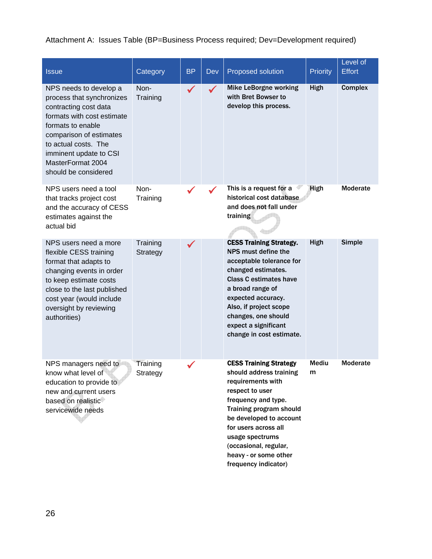Attachment A: Issues Table (BP=Business Process required; Dev=Development required)

| <b>Issue</b>                                                                                                                                                                                                                                              | Category             | <b>BP</b>    | Dev          | Proposed solution                                                                                                                                                                                                                                                                                         | <b>Priority</b> | Level of<br><b>Effort</b> |
|-----------------------------------------------------------------------------------------------------------------------------------------------------------------------------------------------------------------------------------------------------------|----------------------|--------------|--------------|-----------------------------------------------------------------------------------------------------------------------------------------------------------------------------------------------------------------------------------------------------------------------------------------------------------|-----------------|---------------------------|
| NPS needs to develop a<br>process that synchronizes<br>contracting cost data<br>formats with cost estimate<br>formats to enable<br>comparison of estimates<br>to actual costs. The<br>imminent update to CSI<br>MasterFormat 2004<br>should be considered | Non-<br>Training     | $\checkmark$ | $\checkmark$ | <b>Mike LeBorgne working</b><br>with Bret Bowser to<br>develop this process.                                                                                                                                                                                                                              | <b>High</b>     | <b>Complex</b>            |
| NPS users need a tool<br>that tracks project cost<br>and the accuracy of CESS<br>estimates against the<br>actual bid                                                                                                                                      | Non-<br>Training     |              |              | This is a request for a<br>historical cost database<br>and does not fall under<br>training                                                                                                                                                                                                                | <b>High</b>     | <b>Moderate</b>           |
| NPS users need a more<br>flexible CESS training<br>format that adapts to<br>changing events in order<br>to keep estimate costs<br>close to the last published<br>cost year (would include<br>oversight by reviewing<br>authorities)                       | Training<br>Strategy |              |              | <b>CESS Training Strategy.</b><br>NPS must define the<br>acceptable tolerance for<br>changed estimates.<br><b>Class C estimates have</b><br>a broad range of<br>expected accuracy.<br>Also, if project scope<br>changes, one should<br>expect a significant<br>change in cost estimate.                   | High            | <b>Simple</b>             |
| NPS managers need to<br>know what level of<br>education to provide to<br>new and current users<br>based on realistic<br>servicewide needs                                                                                                                 | Training<br>Strategy |              |              | <b>CESS Training Strategy</b><br>should address training<br>requirements with<br>respect to user<br>frequency and type.<br><b>Training program should</b><br>be developed to account<br>for users across all<br>usage spectrums<br>(occasional, regular,<br>heavy - or some other<br>frequency indicator) | Mediu<br>m      | <b>Moderate</b>           |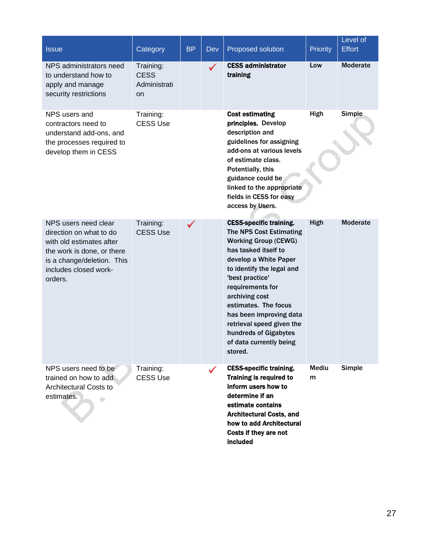| <b>Issue</b>                                                                                                                                                                | Category                                              | <b>BP</b> | Dev          | Proposed solution                                                                                                                                                                                                                                                                                                                                                              | <b>Priority</b>   | Level of<br><b>Effort</b> |
|-----------------------------------------------------------------------------------------------------------------------------------------------------------------------------|-------------------------------------------------------|-----------|--------------|--------------------------------------------------------------------------------------------------------------------------------------------------------------------------------------------------------------------------------------------------------------------------------------------------------------------------------------------------------------------------------|-------------------|---------------------------|
| NPS administrators need<br>to understand how to<br>apply and manage<br>security restrictions                                                                                | Training:<br><b>CESS</b><br>Administrati<br><b>on</b> |           | $\checkmark$ | <b>CESS administrator</b><br>training                                                                                                                                                                                                                                                                                                                                          | Low               | <b>Moderate</b>           |
| NPS users and<br>contractors need to<br>understand add-ons, and<br>the processes required to<br>develop them in CESS                                                        | Training:<br><b>CESS Use</b>                          |           |              | <b>Cost estimating</b><br>principles. Develop<br>description and<br>guidelines for assigning<br>add-ons at various levels<br>of estimate class.<br>Potentially, this<br>guidance could be<br>linked to the appropriate<br>fields in CESS for easy<br>access by Users.                                                                                                          | High              | <b>Simple</b>             |
| NPS users need clear<br>direction on what to do<br>with old estimates after<br>the work is done, or there<br>is a change/deletion. This<br>includes closed work-<br>orders. | Training:<br><b>CESS Use</b>                          |           |              | <b>CESS-specific training.</b><br>The NPS Cost Estimating<br><b>Working Group (CEWG)</b><br>has tasked itself to<br>develop a White Paper<br>to identify the legal and<br>'best practice'<br>requirements for<br>archiving cost<br>estimates. The focus<br>has been improving data<br>retrieval speed given the<br>hundreds of Gigabytes<br>of data currently being<br>stored. | High              | <b>Moderate</b>           |
| NPS users need to be<br>trained on how to add<br>Architectural Costs to<br>estimates.                                                                                       | Training:<br><b>CESS Use</b>                          |           |              | <b>CESS-specific training.</b><br><b>Training is required to</b><br>inform users how to<br>determine if an<br>estimate contains<br><b>Architectural Costs, and</b><br>how to add Architectural<br>Costs if they are not<br>included                                                                                                                                            | <b>Mediu</b><br>m | <b>Simple</b>             |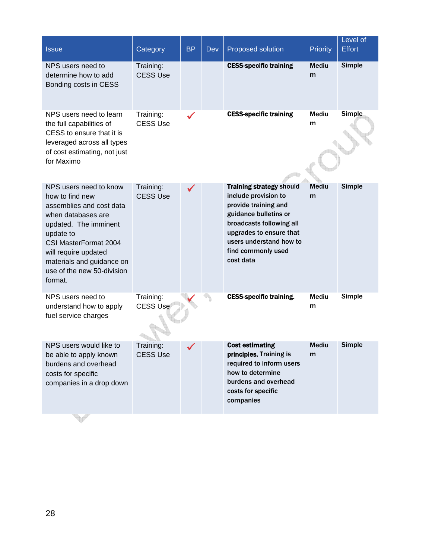| <b>Issue</b>                                                                                                                                                                                                                                             | Category                     | <b>BP</b> | Dev | Proposed solution                                                                                                                                                                                                             | <b>Priority</b>   | Level of<br><b>Effort</b> |
|----------------------------------------------------------------------------------------------------------------------------------------------------------------------------------------------------------------------------------------------------------|------------------------------|-----------|-----|-------------------------------------------------------------------------------------------------------------------------------------------------------------------------------------------------------------------------------|-------------------|---------------------------|
| NPS users need to<br>determine how to add<br>Bonding costs in CESS                                                                                                                                                                                       | Training:<br><b>CESS Use</b> |           |     | <b>CESS-specific training</b>                                                                                                                                                                                                 | <b>Mediu</b><br>m | <b>Simple</b>             |
| NPS users need to learn<br>the full capabilities of<br>CESS to ensure that it is<br>leveraged across all types<br>of cost estimating, not just<br>for Maximo                                                                                             | Training:<br><b>CESS Use</b> |           |     | <b>CESS-specific training</b>                                                                                                                                                                                                 | <b>Mediu</b><br>m | <b>Simple</b>             |
| NPS users need to know<br>how to find new<br>assemblies and cost data<br>when databases are<br>updated. The imminent<br>update to<br>CSI MasterFormat 2004<br>will require updated<br>materials and guidance on<br>use of the new 50-division<br>format. | Training:<br><b>CESS Use</b> |           |     | <b>Training strategy should</b><br>include provision to<br>provide training and<br>guidance bulletins or<br>broadcasts following all<br>upgrades to ensure that<br>users understand how to<br>find commonly used<br>cost data | <b>Mediu</b><br>m | <b>Simple</b>             |
| NPS users need to<br>understand how to apply<br>fuel service charges                                                                                                                                                                                     | Training:<br><b>CESS Use</b> |           |     | <b>CESS-specific training.</b>                                                                                                                                                                                                | Mediu<br>m        | Simple                    |
| NPS users would like to<br>be able to apply known<br>burdens and overhead<br>costs for specific<br>companies in a drop down                                                                                                                              | Training:<br><b>CESS Use</b> |           |     | <b>Cost estimating</b><br>principles. Training is<br>required to inform users<br>how to determine<br>burdens and overhead<br>costs for specific<br>companies                                                                  | <b>Mediu</b><br>m | <b>Simple</b>             |
|                                                                                                                                                                                                                                                          |                              |           |     |                                                                                                                                                                                                                               |                   |                           |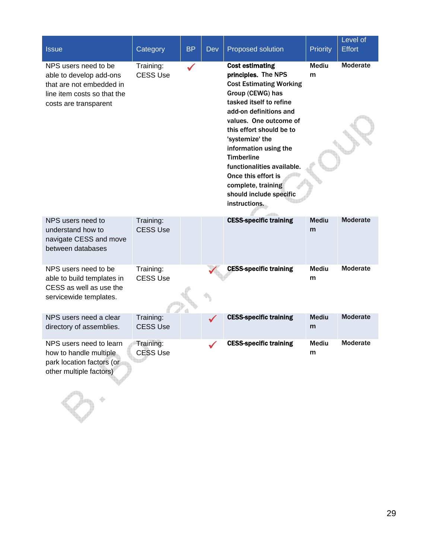| <b>Issue</b>                                                                                                                        | Category                     | <b>BP</b>    | Dev | Proposed solution                                                                                                                                                                                                                                                                                                                                                                                      | Priority          | Level of<br><b>Effort</b> |
|-------------------------------------------------------------------------------------------------------------------------------------|------------------------------|--------------|-----|--------------------------------------------------------------------------------------------------------------------------------------------------------------------------------------------------------------------------------------------------------------------------------------------------------------------------------------------------------------------------------------------------------|-------------------|---------------------------|
| NPS users need to be<br>able to develop add-ons<br>that are not embedded in<br>line item costs so that the<br>costs are transparent | Training:<br><b>CESS Use</b> | $\checkmark$ |     | <b>Cost estimating</b><br>principles. The NPS<br><b>Cost Estimating Working</b><br>Group (CEWG) has<br>tasked itself to refine<br>add-on definitions and<br>values. One outcome of<br>this effort should be to<br>'systemize' the<br>information using the<br><b>Timberline</b><br>functionalities available.<br>Once this effort is<br>complete, training<br>should include specific<br>instructions. | <b>Mediu</b><br>m | <b>Moderate</b>           |
| NPS users need to<br>understand how to<br>navigate CESS and move<br>between databases                                               | Training:<br><b>CESS Use</b> |              |     | <b>CESS-specific training</b>                                                                                                                                                                                                                                                                                                                                                                          | <b>Mediu</b><br>m | <b>Moderate</b>           |
| NPS users need to be<br>able to build templates in<br>CESS as well as use the<br>servicewide templates.                             | Training:<br><b>CESS Use</b> |              |     | <b>CESS-specific training</b>                                                                                                                                                                                                                                                                                                                                                                          | Mediu<br>m        | Moderate                  |
| NPS users need a clear<br>directory of assemblies.                                                                                  | Training:<br><b>CESS Use</b> |              |     | <b>CESS-specific training</b>                                                                                                                                                                                                                                                                                                                                                                          | <b>Mediu</b><br>m | <b>Moderate</b>           |
| NPS users need to learn<br>how to handle multiple<br>park location factors (or<br>other multiple factors)                           | Training:<br><b>CESS Use</b> |              |     | <b>CESS-specific training</b>                                                                                                                                                                                                                                                                                                                                                                          | <b>Mediu</b><br>m | <b>Moderate</b>           |

♦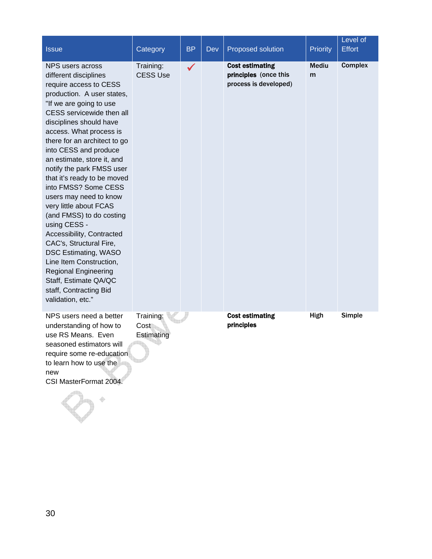| <b>Issue</b>                                                                                                                                                                                                                                                                                                                                                                                                                                                                                                                                                                                                                                                                                                        | Category                        | <b>BP</b>    | Dev | Proposed solution                                                        | Priority          | Level of<br><b>Effort</b> |
|---------------------------------------------------------------------------------------------------------------------------------------------------------------------------------------------------------------------------------------------------------------------------------------------------------------------------------------------------------------------------------------------------------------------------------------------------------------------------------------------------------------------------------------------------------------------------------------------------------------------------------------------------------------------------------------------------------------------|---------------------------------|--------------|-----|--------------------------------------------------------------------------|-------------------|---------------------------|
| NPS users across<br>different disciplines<br>require access to CESS<br>production. A user states,<br>"If we are going to use<br>CESS servicewide then all<br>disciplines should have<br>access. What process is<br>there for an architect to go<br>into CESS and produce<br>an estimate, store it, and<br>notify the park FMSS user<br>that it's ready to be moved<br>into FMSS? Some CESS<br>users may need to know<br>very little about FCAS<br>(and FMSS) to do costing<br>using CESS -<br>Accessibility, Contracted<br>CAC's, Structural Fire,<br><b>DSC Estimating, WASO</b><br>Line Item Construction,<br><b>Regional Engineering</b><br>Staff, Estimate QA/QC<br>staff, Contracting Bid<br>validation, etc." | Training:<br><b>CESS Use</b>    | $\checkmark$ |     | <b>Cost estimating</b><br>principles (once this<br>process is developed) | <b>Mediu</b><br>m | <b>Complex</b>            |
| NPS users need a better<br>understanding of how to<br>use RS Means. Even<br>seasoned estimators will<br>require some re-education<br>to learn how to use the<br>new                                                                                                                                                                                                                                                                                                                                                                                                                                                                                                                                                 | Training:<br>Cost<br>Estimating |              |     | <b>Cost estimating</b><br>principles                                     | High              | <b>Simple</b>             |

CSI MasterFormat 2004.

 $\Rightarrow$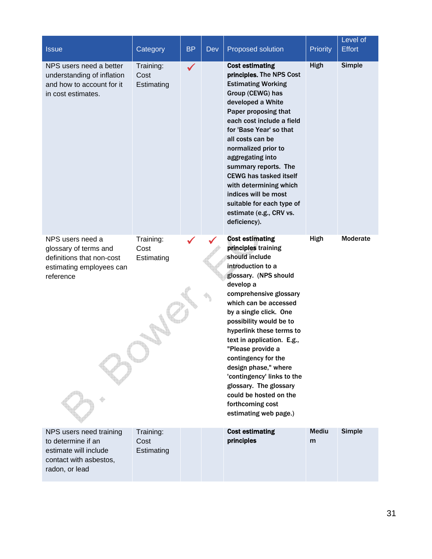| <b>Issue</b>                                                                                                       | Category                        | <b>BP</b>    | Dev | Proposed solution                                                                                                                                                                                                                                                                                                                                                                                                                                                                               | <b>Priority</b>   | Level of<br><b>Effort</b> |
|--------------------------------------------------------------------------------------------------------------------|---------------------------------|--------------|-----|-------------------------------------------------------------------------------------------------------------------------------------------------------------------------------------------------------------------------------------------------------------------------------------------------------------------------------------------------------------------------------------------------------------------------------------------------------------------------------------------------|-------------------|---------------------------|
| NPS users need a better<br>understanding of inflation<br>and how to account for it<br>in cost estimates.           | Training:<br>Cost<br>Estimating | $\checkmark$ |     | <b>Cost estimating</b><br>principles. The NPS Cost<br><b>Estimating Working</b><br>Group (CEWG) has<br>developed a White<br>Paper proposing that<br>each cost include a field<br>for 'Base Year' so that<br>all costs can be<br>normalized prior to<br>aggregating into<br>summary reports. The<br><b>CEWG has tasked itself</b><br>with determining which<br>indices will be most<br>suitable for each type of<br>estimate (e.g., CRV vs.<br>deficiency).                                      | High              | <b>Simple</b>             |
| NPS users need a<br>glossary of terms and<br>definitions that non-cost<br>estimating employees can<br>reference    | Training:<br>Cost<br>Estimating |              |     | <b>Cost estimating</b><br>principles training<br>should include<br>introduction to a<br>glossary. (NPS should<br>develop a<br>comprehensive glossary<br>which can be accessed<br>by a single click. One<br>possibility would be to<br>hyperlink these terms to<br>text in application. E.g.,<br>"Please provide a<br>contingency for the<br>design phase," where<br>'contingency' links to the<br>glossary. The glossary<br>could be hosted on the<br>forthcoming cost<br>estimating web page.) | High              | <b>Moderate</b>           |
| NPS users need training<br>to determine if an<br>estimate will include<br>contact with asbestos,<br>radon, or lead | Training:<br>Cost<br>Estimating |              |     | <b>Cost estimating</b><br>principles                                                                                                                                                                                                                                                                                                                                                                                                                                                            | <b>Mediu</b><br>m | <b>Simple</b>             |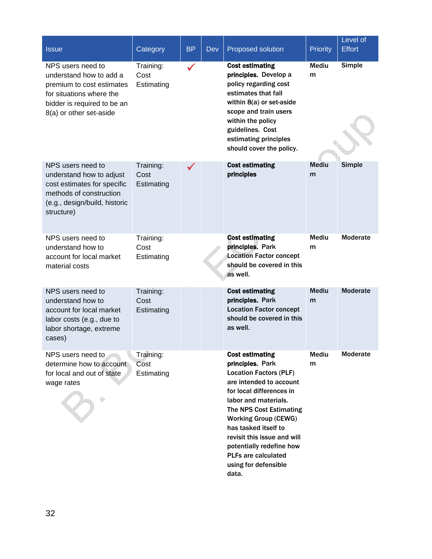| <b>Issue</b>                                                                                                                                                    | Category                        | <b>BP</b> | Dev | Proposed solution                                                                                                                                                                                                                                                                                                                                                      | <b>Priority</b>   | Level of<br><b>Effort</b> |
|-----------------------------------------------------------------------------------------------------------------------------------------------------------------|---------------------------------|-----------|-----|------------------------------------------------------------------------------------------------------------------------------------------------------------------------------------------------------------------------------------------------------------------------------------------------------------------------------------------------------------------------|-------------------|---------------------------|
| NPS users need to<br>understand how to add a<br>premium to cost estimates<br>for situations where the<br>bidder is required to be an<br>8(a) or other set-aside | Training:<br>Cost<br>Estimating |           |     | <b>Cost estimating</b><br>principles. Develop a<br>policy regarding cost<br>estimates that fall<br>within 8(a) or set-aside<br>scope and train users<br>within the policy<br>guidelines. Cost<br>estimating principles<br>should cover the policy.                                                                                                                     | Mediu<br>m        | Simple                    |
| NPS users need to<br>understand how to adjust<br>cost estimates for specific<br>methods of construction<br>(e.g., design/build, historic<br>structure)          | Training:<br>Cost<br>Estimating |           |     | <b>Cost estimating</b><br>principles                                                                                                                                                                                                                                                                                                                                   | Mediu<br>m        | <b>Simple</b>             |
| NPS users need to<br>understand how to<br>account for local market<br>material costs                                                                            | Training:<br>Cost<br>Estimating |           |     | <b>Cost estimating</b><br>principles. Park<br><b>Location Factor concept</b><br>should be covered in this<br>as well.                                                                                                                                                                                                                                                  | <b>Mediu</b><br>m | <b>Moderate</b>           |
| NPS users need to<br>understand how to<br>account for local market<br>labor costs (e.g., due to<br>labor shortage, extreme<br>cases)                            | Training:<br>Cost<br>Estimating |           |     | <b>Cost estimating</b><br>principles. Park<br><b>Location Factor concept</b><br>should be covered in this<br>as well.                                                                                                                                                                                                                                                  | Mediu<br>m        | <b>Moderate</b>           |
| NPS users need to<br>determine how to account<br>for local and out of state<br>wage rates                                                                       | Training:<br>Cost<br>Estimating |           |     | <b>Cost estimating</b><br>principles. Park<br><b>Location Factors (PLF)</b><br>are intended to account<br>for local differences in<br>labor and materials.<br>The NPS Cost Estimating<br><b>Working Group (CEWG)</b><br>has tasked itself to<br>revisit this issue and will<br>potentially redefine how<br><b>PLFs are calculated</b><br>using for defensible<br>data. | Mediu<br>m        | Moderate                  |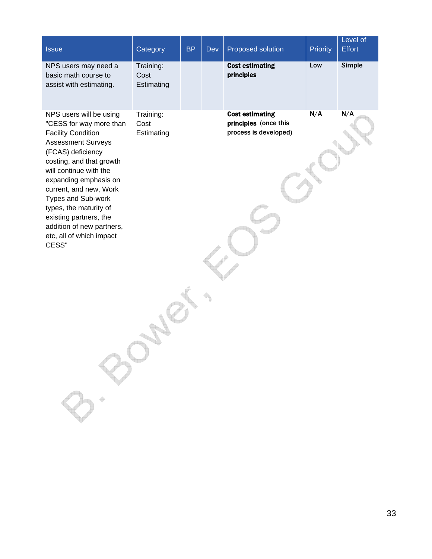| <b>Issue</b>                                                                                                                                                                                                                                                                                                                                                                           | Category                        | <b>BP</b> | Dev | Proposed solution                                                        | Priority | Level of<br><b>Effort</b> |
|----------------------------------------------------------------------------------------------------------------------------------------------------------------------------------------------------------------------------------------------------------------------------------------------------------------------------------------------------------------------------------------|---------------------------------|-----------|-----|--------------------------------------------------------------------------|----------|---------------------------|
| NPS users may need a<br>basic math course to<br>assist with estimating.                                                                                                                                                                                                                                                                                                                | Training:<br>Cost<br>Estimating |           |     | <b>Cost estimating</b><br>principles                                     | Low      | <b>Simple</b>             |
| NPS users will be using<br>"CESS for way more than<br><b>Facility Condition</b><br><b>Assessment Surveys</b><br>(FCAS) deficiency<br>costing, and that growth<br>will continue with the<br>expanding emphasis on<br>current, and new, Work<br>Types and Sub-work<br>types, the maturity of<br>existing partners, the<br>addition of new partners,<br>etc, all of which impact<br>CESS" | Training:<br>Cost<br>Estimating |           |     | <b>Cost estimating</b><br>principles (once this<br>process is developed) | N/A      | N/A                       |